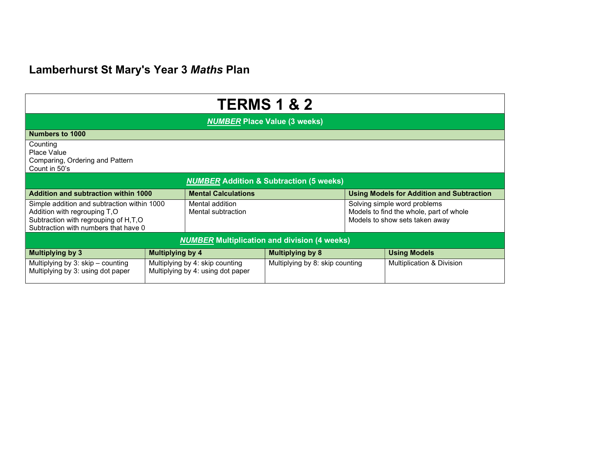## Lamberhurst St Mary's Year 3 Maths Plan

| <b>TERMS 1 &amp; 2</b>                                                                                                                                      |                                                                      |                                       |                                 |                                                                                                           |                                      |  |  |
|-------------------------------------------------------------------------------------------------------------------------------------------------------------|----------------------------------------------------------------------|---------------------------------------|---------------------------------|-----------------------------------------------------------------------------------------------------------|--------------------------------------|--|--|
| <b>NUMBER Place Value (3 weeks)</b>                                                                                                                         |                                                                      |                                       |                                 |                                                                                                           |                                      |  |  |
| Numbers to 1000                                                                                                                                             |                                                                      |                                       |                                 |                                                                                                           |                                      |  |  |
| Counting<br>Place Value<br>Comparing, Ordering and Pattern<br>Count in 50's                                                                                 |                                                                      |                                       |                                 |                                                                                                           |                                      |  |  |
| <b>NUMBER Addition &amp; Subtraction (5 weeks)</b>                                                                                                          |                                                                      |                                       |                                 |                                                                                                           |                                      |  |  |
| <b>Addition and subtraction within 1000</b>                                                                                                                 |                                                                      | <b>Mental Calculations</b>            |                                 | <b>Using Models for Addition and Subtraction</b>                                                          |                                      |  |  |
| Simple addition and subtraction within 1000<br>Addition with regrouping T,O<br>Subtraction with regrouping of H,T,O<br>Subtraction with numbers that have 0 |                                                                      | Mental addition<br>Mental subtraction |                                 | Solving simple word problems<br>Models to find the whole, part of whole<br>Models to show sets taken away |                                      |  |  |
| <b>NUMBER Multiplication and division (4 weeks)</b>                                                                                                         |                                                                      |                                       |                                 |                                                                                                           |                                      |  |  |
| <b>Multiplying by 3</b>                                                                                                                                     | <b>Multiplying by 4</b>                                              |                                       | <b>Multiplying by 8</b>         |                                                                                                           | <b>Using Models</b>                  |  |  |
| Multiplying by 3: skip – counting<br>Multiplying by 3: using dot paper                                                                                      | Multiplying by 4: skip counting<br>Multiplying by 4: using dot paper |                                       | Multiplying by 8: skip counting |                                                                                                           | <b>Multiplication &amp; Division</b> |  |  |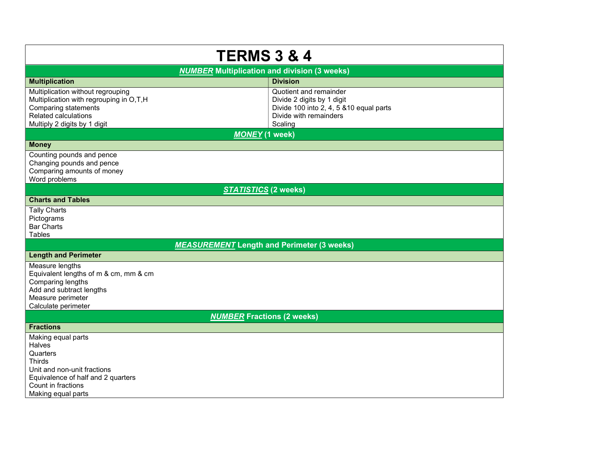| <b>TERMS 3 &amp; 4</b>                                                                                                                                              |                                                                                                                                       |  |  |  |  |  |
|---------------------------------------------------------------------------------------------------------------------------------------------------------------------|---------------------------------------------------------------------------------------------------------------------------------------|--|--|--|--|--|
| <b>NUMBER Multiplication and division (3 weeks)</b>                                                                                                                 |                                                                                                                                       |  |  |  |  |  |
| <b>Multiplication</b>                                                                                                                                               | <b>Division</b>                                                                                                                       |  |  |  |  |  |
| Multiplication without regrouping<br>Multiplication with regrouping in O,T,H<br><b>Comparing statements</b><br>Related calculations<br>Multiply 2 digits by 1 digit | Quotient and remainder<br>Divide 2 digits by 1 digit<br>Divide 100 into 2, 4, 5 & 10 equal parts<br>Divide with remainders<br>Scaling |  |  |  |  |  |
| <b>MONEY</b> (1 week)                                                                                                                                               |                                                                                                                                       |  |  |  |  |  |
| <b>Money</b>                                                                                                                                                        |                                                                                                                                       |  |  |  |  |  |
| Counting pounds and pence<br>Changing pounds and pence<br>Comparing amounts of money<br>Word problems                                                               |                                                                                                                                       |  |  |  |  |  |
| <b>STATISTICS (2 weeks)</b>                                                                                                                                         |                                                                                                                                       |  |  |  |  |  |
| <b>Charts and Tables</b>                                                                                                                                            |                                                                                                                                       |  |  |  |  |  |
| <b>Tally Charts</b><br>Pictograms<br><b>Bar Charts</b><br><b>Tables</b>                                                                                             |                                                                                                                                       |  |  |  |  |  |
| <b>MEASUREMENT</b> Length and Perimeter (3 weeks)                                                                                                                   |                                                                                                                                       |  |  |  |  |  |
| <b>Length and Perimeter</b>                                                                                                                                         |                                                                                                                                       |  |  |  |  |  |
| Measure lengths<br>Equivalent lengths of m & cm, mm & cm<br>Comparing lengths<br>Add and subtract lengths<br>Measure perimeter<br>Calculate perimeter               |                                                                                                                                       |  |  |  |  |  |
| <b>NUMBER Fractions (2 weeks)</b>                                                                                                                                   |                                                                                                                                       |  |  |  |  |  |
| <b>Fractions</b>                                                                                                                                                    |                                                                                                                                       |  |  |  |  |  |
| Making equal parts<br>Halves<br>Quarters<br>Thirds<br>Unit and non-unit fractions<br>Equivalence of half and 2 quarters<br>Count in fractions<br>Making equal parts |                                                                                                                                       |  |  |  |  |  |